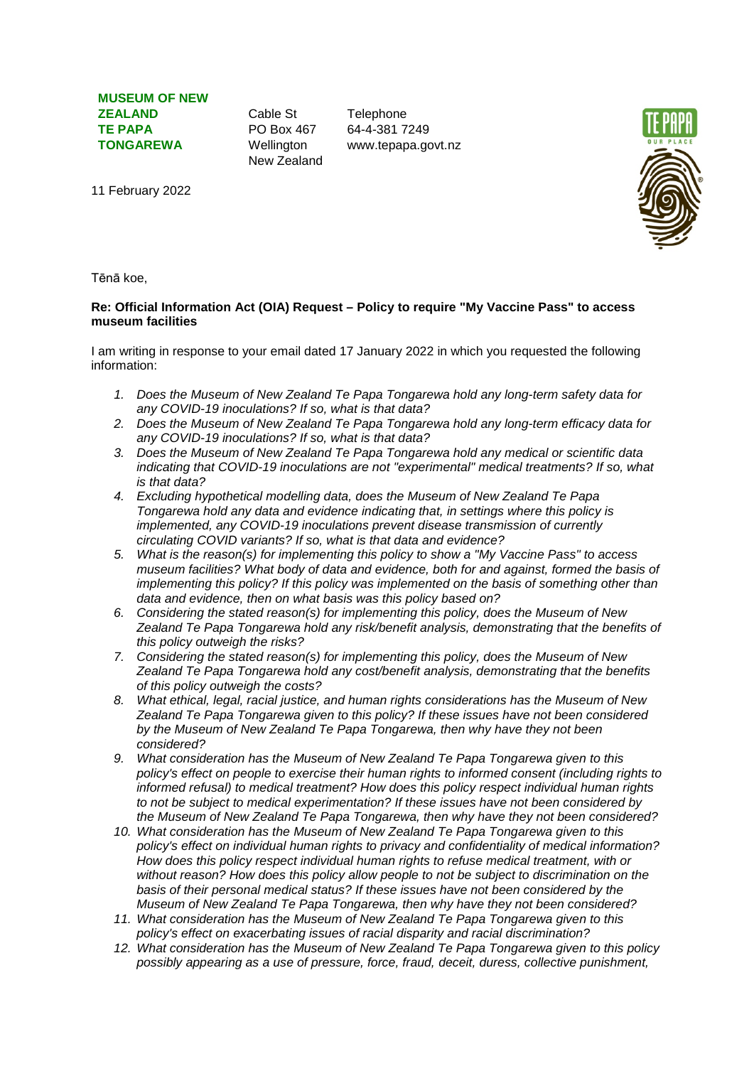**MUSEUM OF NEW ZEALAND TE PAPA TONGAREWA**

Cable St PO Box 467 Wellington New Zealand

**Telephone** 64-4-381 7249 www.tepapa.govt.nz



11 February 2022

Tēnā koe,

## **Re: Official Information Act (OIA) Request – Policy to require "My Vaccine Pass" to access museum facilities**

I am writing in response to your email dated 17 January 2022 in which you requested the following information:

- *1. Does the Museum of New Zealand Te Papa Tongarewa hold any long-term safety data for any COVID-19 inoculations? If so, what is that data?*
- *2. Does the Museum of New Zealand Te Papa Tongarewa hold any long-term efficacy data for any COVID-19 inoculations? If so, what is that data?*
- *3. Does the Museum of New Zealand Te Papa Tongarewa hold any medical or scientific data indicating that COVID-19 inoculations are not "experimental" medical treatments? If so, what is that data?*
- *4. Excluding hypothetical modelling data, does the Museum of New Zealand Te Papa Tongarewa hold any data and evidence indicating that, in settings where this policy is implemented, any COVID-19 inoculations prevent disease transmission of currently circulating COVID variants? If so, what is that data and evidence?*
- *5. What is the reason(s) for implementing this policy to show a "My Vaccine Pass" to access museum facilities? What body of data and evidence, both for and against, formed the basis of implementing this policy? If this policy was implemented on the basis of something other than data and evidence, then on what basis was this policy based on?*
- *6. Considering the stated reason(s) for implementing this policy, does the Museum of New Zealand Te Papa Tongarewa hold any risk/benefit analysis, demonstrating that the benefits of this policy outweigh the risks?*
- *7. Considering the stated reason(s) for implementing this policy, does the Museum of New Zealand Te Papa Tongarewa hold any cost/benefit analysis, demonstrating that the benefits of this policy outweigh the costs?*
- *8. What ethical, legal, racial justice, and human rights considerations has the Museum of New Zealand Te Papa Tongarewa given to this policy? If these issues have not been considered by the Museum of New Zealand Te Papa Tongarewa, then why have they not been considered?*
- *9. What consideration has the Museum of New Zealand Te Papa Tongarewa given to this policy's effect on people to exercise their human rights to informed consent (including rights to informed refusal) to medical treatment? How does this policy respect individual human rights to not be subject to medical experimentation? If these issues have not been considered by the Museum of New Zealand Te Papa Tongarewa, then why have they not been considered?*
- *10. What consideration has the Museum of New Zealand Te Papa Tongarewa given to this policy's effect on individual human rights to privacy and confidentiality of medical information? How does this policy respect individual human rights to refuse medical treatment, with or without reason? How does this policy allow people to not be subject to discrimination on the basis of their personal medical status? If these issues have not been considered by the Museum of New Zealand Te Papa Tongarewa, then why have they not been considered?*
- *11. What consideration has the Museum of New Zealand Te Papa Tongarewa given to this policy's effect on exacerbating issues of racial disparity and racial discrimination?*
- *12. What consideration has the Museum of New Zealand Te Papa Tongarewa given to this policy possibly appearing as a use of pressure, force, fraud, deceit, duress, collective punishment,*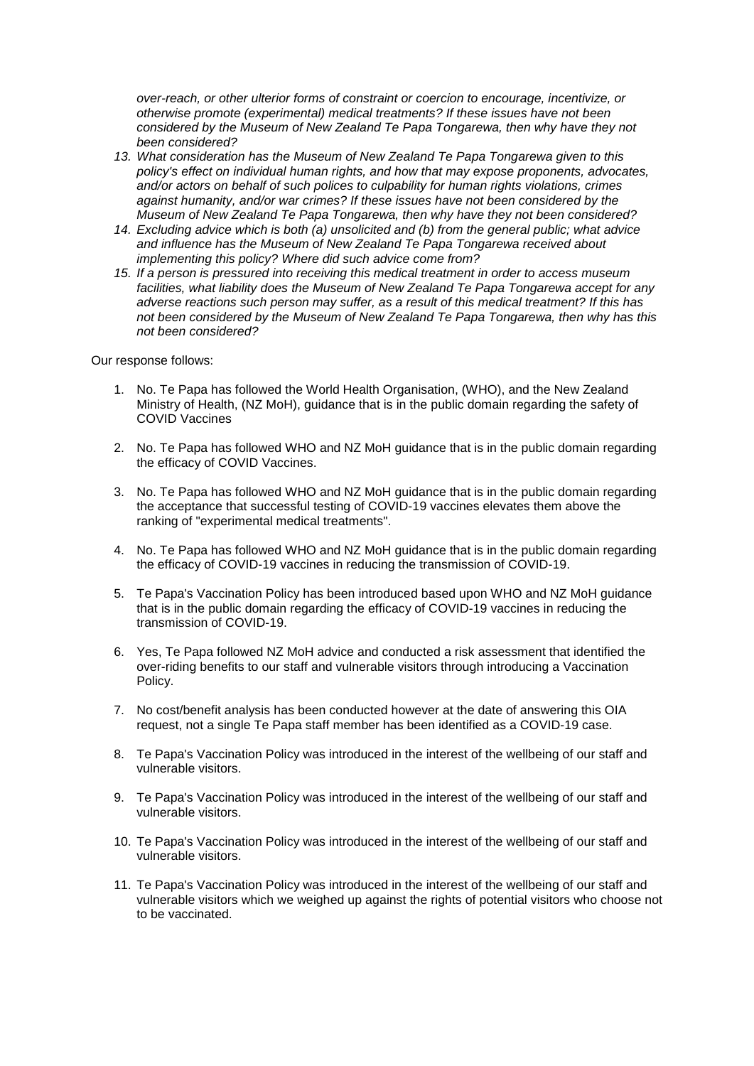*over-reach, or other ulterior forms of constraint or coercion to encourage, incentivize, or otherwise promote (experimental) medical treatments? If these issues have not been considered by the Museum of New Zealand Te Papa Tongarewa, then why have they not been considered?*

- *13. What consideration has the Museum of New Zealand Te Papa Tongarewa given to this policy's effect on individual human rights, and how that may expose proponents, advocates, and/or actors on behalf of such polices to culpability for human rights violations, crimes against humanity, and/or war crimes? If these issues have not been considered by the Museum of New Zealand Te Papa Tongarewa, then why have they not been considered?*
- *14. Excluding advice which is both (a) unsolicited and (b) from the general public; what advice and influence has the Museum of New Zealand Te Papa Tongarewa received about implementing this policy? Where did such advice come from?*
- *15. If a person is pressured into receiving this medical treatment in order to access museum facilities, what liability does the Museum of New Zealand Te Papa Tongarewa accept for any adverse reactions such person may suffer, as a result of this medical treatment? If this has not been considered by the Museum of New Zealand Te Papa Tongarewa, then why has this not been considered?*

Our response follows:

- 1. No. Te Papa has followed the World Health Organisation, (WHO), and the New Zealand Ministry of Health, (NZ MoH), guidance that is in the public domain regarding the safety of COVID Vaccines
- 2. No. Te Papa has followed WHO and NZ MoH guidance that is in the public domain regarding the efficacy of COVID Vaccines.
- 3. No. Te Papa has followed WHO and NZ MoH guidance that is in the public domain regarding the acceptance that successful testing of COVID-19 vaccines elevates them above the ranking of "experimental medical treatments".
- 4. No. Te Papa has followed WHO and NZ MoH guidance that is in the public domain regarding the efficacy of COVID-19 vaccines in reducing the transmission of COVID-19.
- 5. Te Papa's Vaccination Policy has been introduced based upon WHO and NZ MoH guidance that is in the public domain regarding the efficacy of COVID-19 vaccines in reducing the transmission of COVID-19.
- 6. Yes, Te Papa followed NZ MoH advice and conducted a risk assessment that identified the over-riding benefits to our staff and vulnerable visitors through introducing a Vaccination Policy.
- 7. No cost/benefit analysis has been conducted however at the date of answering this OIA request, not a single Te Papa staff member has been identified as a COVID-19 case.
- 8. Te Papa's Vaccination Policy was introduced in the interest of the wellbeing of our staff and vulnerable visitors.
- 9. Te Papa's Vaccination Policy was introduced in the interest of the wellbeing of our staff and vulnerable visitors.
- 10. Te Papa's Vaccination Policy was introduced in the interest of the wellbeing of our staff and vulnerable visitors.
- 11. Te Papa's Vaccination Policy was introduced in the interest of the wellbeing of our staff and vulnerable visitors which we weighed up against the rights of potential visitors who choose not to be vaccinated.